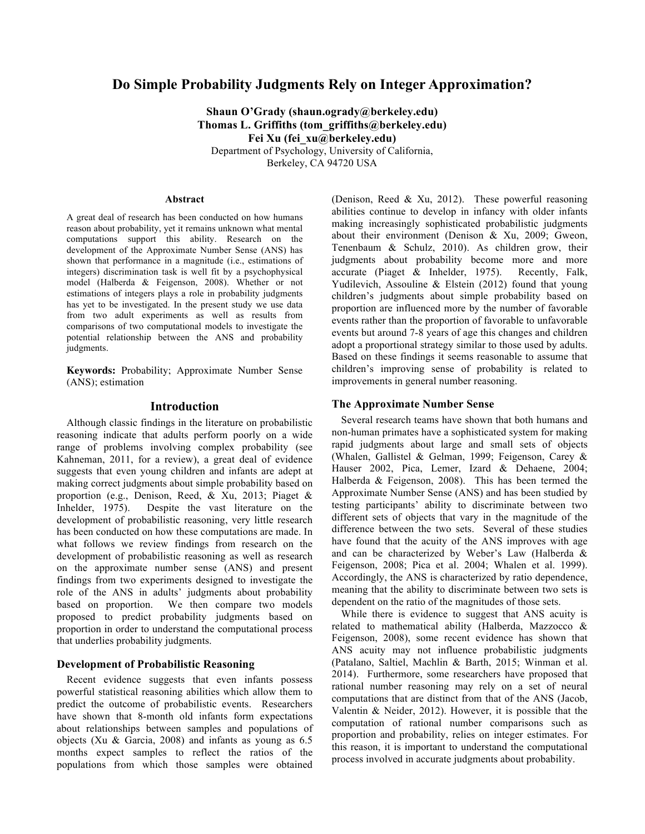# **Do Simple Probability Judgments Rely on Integer Approximation?**

**Shaun O'Grady (shaun.ogrady@berkeley.edu) Thomas L. Griffiths (tom\_griffiths@berkeley.edu) Fei Xu (fei\_xu@berkeley.edu)** Department of Psychology, University of California, Berkeley, CA 94720 USA

#### **Abstract**

A great deal of research has been conducted on how humans reason about probability, yet it remains unknown what mental computations support this ability. Research on the development of the Approximate Number Sense (ANS) has shown that performance in a magnitude (i.e., estimations of integers) discrimination task is well fit by a psychophysical model (Halberda & Feigenson, 2008). Whether or not estimations of integers plays a role in probability judgments has yet to be investigated. In the present study we use data from two adult experiments as well as results from comparisons of two computational models to investigate the potential relationship between the ANS and probability judgments.

**Keywords:** Probability; Approximate Number Sense (ANS); estimation

# **Introduction**

Although classic findings in the literature on probabilistic reasoning indicate that adults perform poorly on a wide range of problems involving complex probability (see Kahneman, 2011, for a review), a great deal of evidence suggests that even young children and infants are adept at making correct judgments about simple probability based on proportion (e.g., Denison, Reed, & Xu, 2013; Piaget & Inhelder, 1975). Despite the vast literature on the development of probabilistic reasoning, very little research has been conducted on how these computations are made. In what follows we review findings from research on the development of probabilistic reasoning as well as research on the approximate number sense (ANS) and present findings from two experiments designed to investigate the role of the ANS in adults' judgments about probability based on proportion. We then compare two models proposed to predict probability judgments based on proportion in order to understand the computational process that underlies probability judgments.

### **Development of Probabilistic Reasoning**

Recent evidence suggests that even infants possess powerful statistical reasoning abilities which allow them to predict the outcome of probabilistic events. Researchers have shown that 8-month old infants form expectations about relationships between samples and populations of objects (Xu & Garcia, 2008) and infants as young as 6.5 months expect samples to reflect the ratios of the populations from which those samples were obtained

(Denison, Reed & Xu, 2012). These powerful reasoning abilities continue to develop in infancy with older infants making increasingly sophisticated probabilistic judgments about their environment (Denison & Xu, 2009; Gweon, Tenenbaum & Schulz, 2010). As children grow, their judgments about probability become more and more accurate (Piaget & Inhelder, 1975). Recently, Falk, Yudilevich, Assouline & Elstein (2012) found that young children's judgments about simple probability based on proportion are influenced more by the number of favorable events rather than the proportion of favorable to unfavorable events but around 7-8 years of age this changes and children adopt a proportional strategy similar to those used by adults. Based on these findings it seems reasonable to assume that children's improving sense of probability is related to improvements in general number reasoning.

### **The Approximate Number Sense**

Several research teams have shown that both humans and non-human primates have a sophisticated system for making rapid judgments about large and small sets of objects (Whalen, Gallistel & Gelman, 1999; Feigenson, Carey & Hauser 2002, Pica, Lemer, Izard & Dehaene, 2004; Halberda & Feigenson, 2008). This has been termed the Approximate Number Sense (ANS) and has been studied by testing participants' ability to discriminate between two different sets of objects that vary in the magnitude of the difference between the two sets. Several of these studies have found that the acuity of the ANS improves with age and can be characterized by Weber's Law (Halberda & Feigenson, 2008; Pica et al. 2004; Whalen et al. 1999). Accordingly, the ANS is characterized by ratio dependence, meaning that the ability to discriminate between two sets is dependent on the ratio of the magnitudes of those sets.

While there is evidence to suggest that ANS acuity is related to mathematical ability (Halberda, Mazzocco & Feigenson, 2008), some recent evidence has shown that ANS acuity may not influence probabilistic judgments (Patalano, Saltiel, Machlin & Barth, 2015; Winman et al. 2014). Furthermore, some researchers have proposed that rational number reasoning may rely on a set of neural computations that are distinct from that of the ANS (Jacob, Valentin & Neider, 2012). However, it is possible that the computation of rational number comparisons such as proportion and probability, relies on integer estimates. For this reason, it is important to understand the computational process involved in accurate judgments about probability.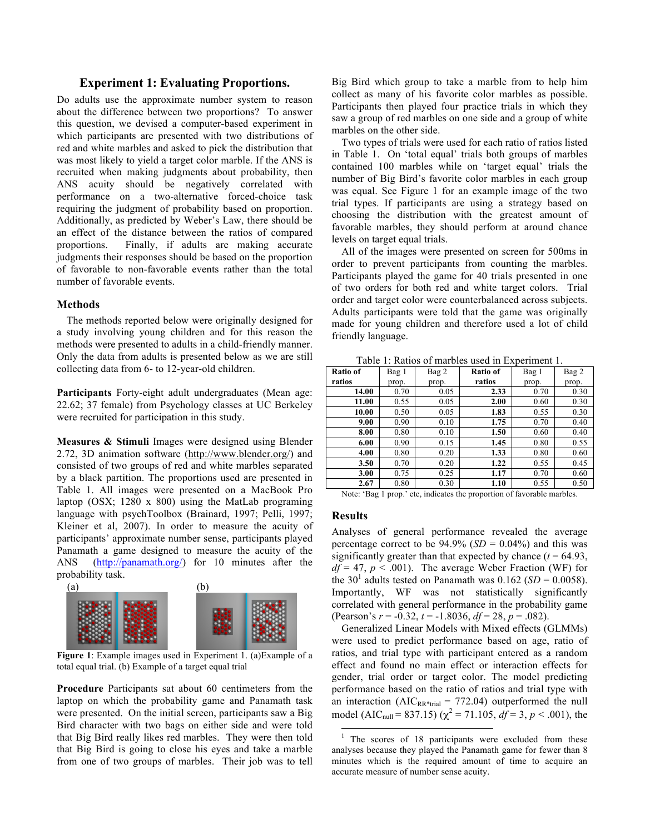# **Experiment 1: Evaluating Proportions.**

Do adults use the approximate number system to reason about the difference between two proportions? To answer this question, we devised a computer-based experiment in which participants are presented with two distributions of red and white marbles and asked to pick the distribution that was most likely to yield a target color marble. If the ANS is recruited when making judgments about probability, then ANS acuity should be negatively correlated with performance on a two-alternative forced-choice task requiring the judgment of probability based on proportion. Additionally, as predicted by Weber's Law, there should be an effect of the distance between the ratios of compared proportions. Finally, if adults are making accurate judgments their responses should be based on the proportion of favorable to non-favorable events rather than the total number of favorable events.

### **Methods**

The methods reported below were originally designed for a study involving young children and for this reason the methods were presented to adults in a child-friendly manner. Only the data from adults is presented below as we are still collecting data from 6- to 12-year-old children.

**Participants** Forty-eight adult undergraduates (Mean age: 22.62; 37 female) from Psychology classes at UC Berkeley were recruited for participation in this study.

**Measures & Stimuli** Images were designed using Blender 2.72, 3D animation software (http://www.blender.org/) and consisted of two groups of red and white marbles separated by a black partition. The proportions used are presented in Table 1. All images were presented on a MacBook Pro laptop (OSX; 1280 x 800) using the MatLab programing language with psychToolbox (Brainard, 1997; Pelli, 1997; Kleiner et al, 2007). In order to measure the acuity of participants' approximate number sense, participants played Panamath a game designed to measure the acuity of the ANS (http://panamath.org/) for 10 minutes after the probability task.



 **Figure 1**: Example images used in Experiment 1. (a)Example of a total equal trial. (b) Example of a target equal trial

**Procedure** Participants sat about 60 centimeters from the laptop on which the probability game and Panamath task were presented. On the initial screen, participants saw a Big Bird character with two bags on either side and were told that Big Bird really likes red marbles. They were then told that Big Bird is going to close his eyes and take a marble from one of two groups of marbles. Their job was to tell Big Bird which group to take a marble from to help him collect as many of his favorite color marbles as possible. Participants then played four practice trials in which they saw a group of red marbles on one side and a group of white marbles on the other side.

Two types of trials were used for each ratio of ratios listed in Table 1. On 'total equal' trials both groups of marbles contained 100 marbles while on 'target equal' trials the number of Big Bird's favorite color marbles in each group was equal. See Figure 1 for an example image of the two trial types. If participants are using a strategy based on choosing the distribution with the greatest amount of favorable marbles, they should perform at around chance levels on target equal trials.

All of the images were presented on screen for 500ms in order to prevent participants from counting the marbles. Participants played the game for 40 trials presented in one of two orders for both red and white target colors. Trial order and target color were counterbalanced across subjects. Adults participants were told that the game was originally made for young children and therefore used a lot of child friendly language.

| Table 1: Ratios of marbles used in Experiment 1. |  |  |  |
|--------------------------------------------------|--|--|--|
|--------------------------------------------------|--|--|--|

| Ratio of | Bag 1 | Bag 2 | Ratio of | Bag 1 | Bag 2 |
|----------|-------|-------|----------|-------|-------|
| ratios   | prop. | prop. | ratios   | prop. | prop. |
| 14.00    | 0.70  | 0.05  | 2.33     | 0.70  | 0.30  |
| 11.00    | 0.55  | 0.05  | 2.00     | 0.60  | 0.30  |
| 10.00    | 0.50  | 0.05  | 1.83     | 0.55  | 0.30  |
| 9.00     | 0.90  | 0.10  | 1.75     | 0.70  | 0.40  |
| 8.00     | 0.80  | 0.10  | 1.50     | 0.60  | 0.40  |
| 6.00     | 0.90  | 0.15  | 1.45     | 0.80  | 0.55  |
| 4.00     | 0.80  | 0.20  | 1.33     | 0.80  | 0.60  |
| 3.50     | 0.70  | 0.20  | 1.22     | 0.55  | 0.45  |
| 3.00     | 0.75  | 0.25  | 1.17     | 0.70  | 0.60  |
| 2.67     | 0.80  | 0.30  | 1.10     | 0.55  | 0.50  |

Note: 'Bag 1 prop.' etc, indicates the proportion of favorable marbles.

# **Results**

Analyses of general performance revealed the average percentage correct to be  $94.9\%$  (*SD* = 0.04%) and this was significantly greater than that expected by chance  $(t = 64.93)$ ,  $df = 47$ ,  $p < .001$ ). The average Weber Fraction (WF) for the 30<sup>1</sup> adults tested on Panamath was  $0.162$  (*SD* = 0.0058). Importantly, WF was not statistically significantly correlated with general performance in the probability game (Pearson's *r* = -0.32, *t* = -1.8036, *df* = 28, *p* = .082).

Generalized Linear Models with Mixed effects (GLMMs) were used to predict performance based on age, ratio of ratios, and trial type with participant entered as a random effect and found no main effect or interaction effects for gender, trial order or target color. The model predicting performance based on the ratio of ratios and trial type with an interaction ( $AIC_{RR^*trial} = 772.04$ ) outperformed the null model (AIC<sub>null</sub> = 837.15) ( $\chi^2$  = 71.105,  $df = 3$ ,  $p < .001$ ), the

The scores of 18 participants were excluded from these analyses because they played the Panamath game for fewer than 8 minutes which is the required amount of time to acquire an accurate measure of number sense acuity.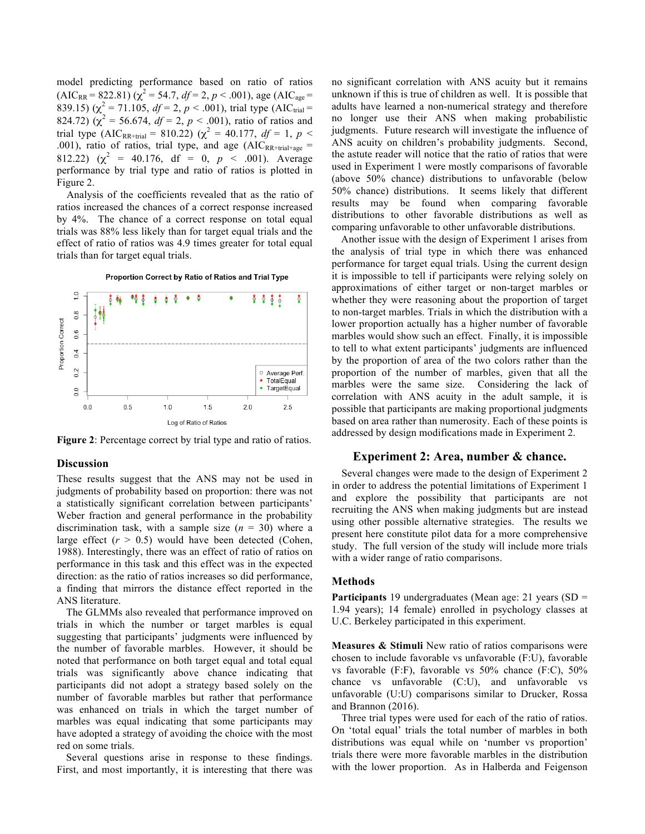model predicting performance based on ratio of ratios  $(AIC_{RR} = 822.81)$  ( $\chi^2 = 54.7$ ,  $df = 2$ ,  $p < .001$ ), age (AIC<sub>age</sub> = 839.15) ( $\chi^2$  = 71.105, *df* = 2, *p* < .001), trial type (AIC<sub>trial</sub> = 824.72) ( $\chi^2$  = 56.674, *df* = 2, *p* < .001), ratio of ratios and trial type (AIC<sub>RR+trial</sub> = 810.22) ( $\chi^2$  = 40.177, *df* = 1, *p* < .001), ratio of ratios, trial type, and age  $(AIC_{RR+trial+age}$ 812.22) ( $\chi^2$  = 40.176, df = 0,  $p \lt 0.001$ ). Average performance by trial type and ratio of ratios is plotted in Figure 2.

Analysis of the coefficients revealed that as the ratio of ratios increased the chances of a correct response increased by 4%. The chance of a correct response on total equal trials was 88% less likely than for target equal trials and the effect of ratio of ratios was 4.9 times greater for total equal trials than for target equal trials.



Proportion Correct by Ratio of Ratios and Trial Type

**Figure 2**: Percentage correct by trial type and ratio of ratios.

#### **Discussion**

These results suggest that the ANS may not be used in judgments of probability based on proportion: there was not a statistically significant correlation between participants' Weber fraction and general performance in the probability discrimination task, with a sample size  $(n = 30)$  where a large effect  $(r > 0.5)$  would have been detected (Cohen, 1988). Interestingly, there was an effect of ratio of ratios on performance in this task and this effect was in the expected direction: as the ratio of ratios increases so did performance, a finding that mirrors the distance effect reported in the ANS literature.

The GLMMs also revealed that performance improved on trials in which the number or target marbles is equal suggesting that participants' judgments were influenced by the number of favorable marbles. However, it should be noted that performance on both target equal and total equal trials was significantly above chance indicating that participants did not adopt a strategy based solely on the number of favorable marbles but rather that performance was enhanced on trials in which the target number of marbles was equal indicating that some participants may have adopted a strategy of avoiding the choice with the most red on some trials.

Several questions arise in response to these findings. First, and most importantly, it is interesting that there was no significant correlation with ANS acuity but it remains unknown if this is true of children as well. It is possible that adults have learned a non-numerical strategy and therefore no longer use their ANS when making probabilistic judgments. Future research will investigate the influence of ANS acuity on children's probability judgments. Second, the astute reader will notice that the ratio of ratios that were used in Experiment 1 were mostly comparisons of favorable (above 50% chance) distributions to unfavorable (below 50% chance) distributions. It seems likely that different results may be found when comparing favorable distributions to other favorable distributions as well as comparing unfavorable to other unfavorable distributions.

Another issue with the design of Experiment 1 arises from the analysis of trial type in which there was enhanced performance for target equal trials. Using the current design it is impossible to tell if participants were relying solely on approximations of either target or non-target marbles or whether they were reasoning about the proportion of target to non-target marbles. Trials in which the distribution with a lower proportion actually has a higher number of favorable marbles would show such an effect. Finally, it is impossible to tell to what extent participants' judgments are influenced by the proportion of area of the two colors rather than the proportion of the number of marbles, given that all the marbles were the same size. Considering the lack of correlation with ANS acuity in the adult sample, it is possible that participants are making proportional judgments based on area rather than numerosity. Each of these points is addressed by design modifications made in Experiment 2.

# **Experiment 2: Area, number & chance.**

Several changes were made to the design of Experiment 2 in order to address the potential limitations of Experiment 1 and explore the possibility that participants are not recruiting the ANS when making judgments but are instead using other possible alternative strategies. The results we present here constitute pilot data for a more comprehensive study. The full version of the study will include more trials with a wider range of ratio comparisons.

### **Methods**

**Participants** 19 undergraduates (Mean age: 21 years (SD = 1.94 years); 14 female) enrolled in psychology classes at U.C. Berkeley participated in this experiment.

**Measures & Stimuli** New ratio of ratios comparisons were chosen to include favorable vs unfavorable (F:U), favorable vs favorable (F:F), favorable vs 50% chance (F:C), 50% chance vs unfavorable (C:U), and unfavorable vs unfavorable (U:U) comparisons similar to Drucker, Rossa and Brannon (2016).

Three trial types were used for each of the ratio of ratios. On 'total equal' trials the total number of marbles in both distributions was equal while on 'number vs proportion' trials there were more favorable marbles in the distribution with the lower proportion. As in Halberda and Feigenson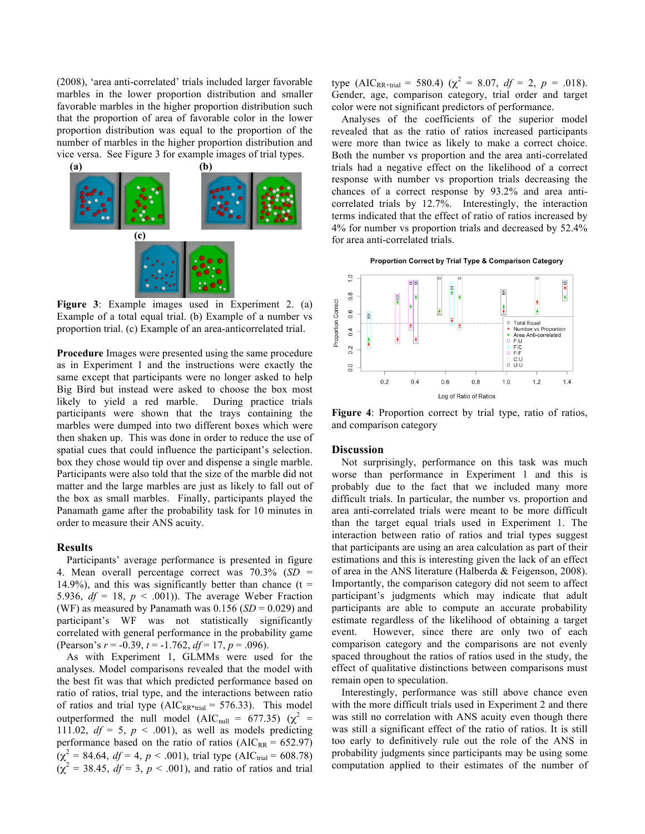(2008), 'area anti-correlated' trials included larger favorable marbles in the lower proportion distribution and smaller favorable marbles in the higher proportion distribution such that the proportion of area of favorable color in the lower proportion distribution was equal to the proportion of the number of marbles in the higher proportion distribution and vice versa. See Figure 3 for example images of trial types.



**Figure 3**: Example images used in Experiment 2. (a) Example of a total equal trial. (b) Example of a number vs proportion trial. (c) Example of an area-anticorrelated trial.

**Procedure** Images were presented using the same procedure as in Experiment 1 and the instructions were exactly the same except that participants were no longer asked to help Big Bird but instead were asked to choose the box most likely to yield a red marble. During practice trials participants were shown that the trays containing the marbles were dumped into two different boxes which were then shaken up. This was done in order to reduce the use of spatial cues that could influence the participant's selection. box they chose would tip over and dispense a single marble. Participants were also told that the size of the marble did not matter and the large marbles are just as likely to fall out of the box as small marbles. Finally, participants played the Panamath game after the probability task for 10 minutes in order to measure their ANS acuity.

### **Results**

Participants' average performance is presented in figure 4. Mean overall percentage correct was 70.3% (*SD* = 14.9%), and this was significantly better than chance ( $t =$ 5.936,  $df = 18$ ,  $p < .001$ )). The average Weber Fraction (WF) as measured by Panamath was  $0.156$  (*SD* = 0.029) and participant's WF was not statistically significantly correlated with general performance in the probability game (Pearson's *r* = -0.39, *t* = -1.762, *df* = 17, *p* = .096).

As with Experiment 1, GLMMs were used for the analyses. Model comparisons revealed that the model with the best fit was that which predicted performance based on ratio of ratios, trial type, and the interactions between ratio of ratios and trial type ( $AIC_{RR*trial} = 576.33$ ). This model outperformed the null model (AIC<sub>null</sub> = 677.35) ( $\chi^2$  = 111.02,  $df = 5$ ,  $p < .001$ ), as well as models predicting performance based on the ratio of ratios ( $AIC_{RR} = 652.97$ )  $(\chi^2 = 84.64, df = 4, p < .001)$ , trial type (AIC<sub>trial</sub> = 608.78)  $(\chi^2 = 38.45, df = 3, p < .001)$ , and ratio of ratios and trial type (AIC<sub>RR+trial</sub> = 580.4) ( $\chi^2$  = 8.07,  $df = 2$ ,  $p = .018$ ). Gender, age, comparison category, trial order and target color were not significant predictors of performance.

Analyses of the coefficients of the superior model revealed that as the ratio of ratios increased participants were more than twice as likely to make a correct choice. Both the number vs proportion and the area anti-correlated trials had a negative effect on the likelihood of a correct response with number vs proportion trials decreasing the chances of a correct response by 93.2% and area anticorrelated trials by 12.7%. Interestingly, the interaction terms indicated that the effect of ratio of ratios increased by 4% for number vs proportion trials and decreased by 52.4% for area anti-correlated trials.





**Figure 4**: Proportion correct by trial type, ratio of ratios, and comparison category

### **Discussion**

Not surprisingly, performance on this task was much worse than performance in Experiment 1 and this is probably due to the fact that we included many more difficult trials. In particular, the number vs. proportion and area anti-correlated trials were meant to be more difficult than the target equal trials used in Experiment 1. The interaction between ratio of ratios and trial types suggest that participants are using an area calculation as part of their estimations and this is interesting given the lack of an effect of area in the ANS literature (Halberda & Feigenson, 2008). Importantly, the comparison category did not seem to affect participant's judgments which may indicate that adult participants are able to compute an accurate probability estimate regardless of the likelihood of obtaining a target event. However, since there are only two of each comparison category and the comparisons are not evenly spaced throughout the ratios of ratios used in the study, the effect of qualitative distinctions between comparisons must remain open to speculation.

Interestingly, performance was still above chance even with the more difficult trials used in Experiment 2 and there was still no correlation with ANS acuity even though there was still a significant effect of the ratio of ratios. It is still too early to definitively rule out the role of the ANS in probability judgments since participants may be using some computation applied to their estimates of the number of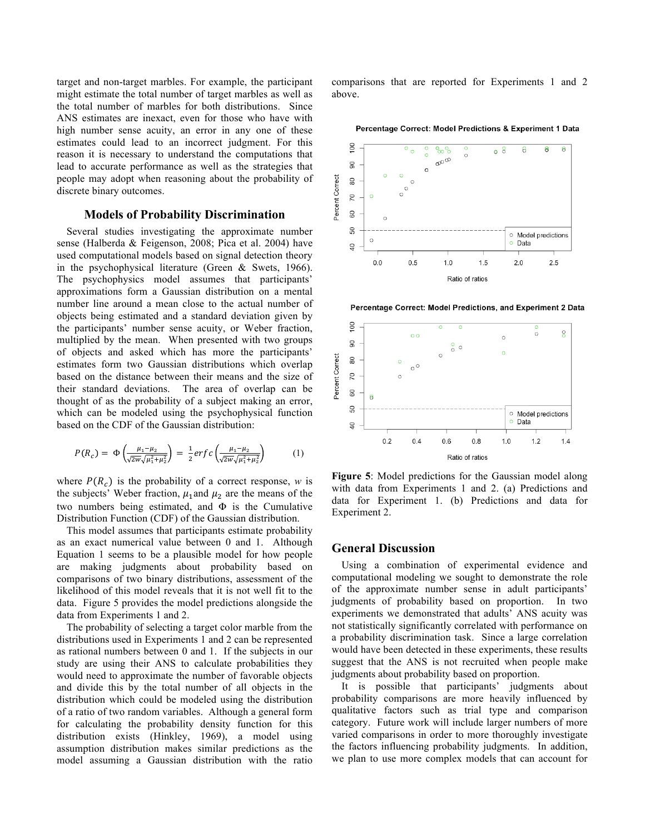target and non-target marbles. For example, the participant might estimate the total number of target marbles as well as the total number of marbles for both distributions. Since ANS estimates are inexact, even for those who have with high number sense acuity, an error in any one of these estimates could lead to an incorrect judgment. For this reason it is necessary to understand the computations that lead to accurate performance as well as the strategies that people may adopt when reasoning about the probability of discrete binary outcomes.

# **Models of Probability Discrimination**

Several studies investigating the approximate number sense (Halberda & Feigenson, 2008; Pica et al. 2004) have used computational models based on signal detection theory in the psychophysical literature (Green & Swets, 1966). The psychophysics model assumes that participants' approximations form a Gaussian distribution on a mental number line around a mean close to the actual number of objects being estimated and a standard deviation given by the participants' number sense acuity, or Weber fraction, multiplied by the mean. When presented with two groups of objects and asked which has more the participants' estimates form two Gaussian distributions which overlap based on the distance between their means and the size of their standard deviations. The area of overlap can be thought of as the probability of a subject making an error, which can be modeled using the psychophysical function based on the CDF of the Gaussian distribution:

$$
P(R_c) = \Phi\left(\frac{\mu_1 - \mu_2}{\sqrt{2w}\sqrt{\mu_1^2 + \mu_2^2}}\right) = \frac{1}{2} erfc\left(\frac{\mu_1 - \mu_2}{\sqrt{2w}\sqrt{\mu_1^2 + \mu_2^2}}\right)
$$
(1)

where  $P(R_c)$  is the probability of a correct response, *w* is the subjects' Weber fraction,  $\mu_1$  and  $\mu_2$  are the means of the two numbers being estimated, and Φ is the Cumulative Distribution Function (CDF) of the Gaussian distribution.

This model assumes that participants estimate probability as an exact numerical value between 0 and 1. Although Equation 1 seems to be a plausible model for how people are making judgments about probability based on comparisons of two binary distributions, assessment of the likelihood of this model reveals that it is not well fit to the data. Figure 5 provides the model predictions alongside the data from Experiments 1 and 2.

The probability of selecting a target color marble from the distributions used in Experiments 1 and 2 can be represented as rational numbers between 0 and 1. If the subjects in our study are using their ANS to calculate probabilities they would need to approximate the number of favorable objects and divide this by the total number of all objects in the distribution which could be modeled using the distribution of a ratio of two random variables. Although a general form for calculating the probability density function for this distribution exists (Hinkley, 1969), a model using assumption distribution makes similar predictions as the model assuming a Gaussian distribution with the ratio comparisons that are reported for Experiments 1 and 2 above.





Percentage Correct: Model Predictions, and Experiment 2 Data



**Figure 5**: Model predictions for the Gaussian model along with data from Experiments 1 and 2. (a) Predictions and data for Experiment 1. (b) Predictions and data for Experiment 2.

### **General Discussion**

Using a combination of experimental evidence and computational modeling we sought to demonstrate the role of the approximate number sense in adult participants' judgments of probability based on proportion. In two experiments we demonstrated that adults' ANS acuity was not statistically significantly correlated with performance on a probability discrimination task. Since a large correlation would have been detected in these experiments, these results suggest that the ANS is not recruited when people make judgments about probability based on proportion.

It is possible that participants' judgments about probability comparisons are more heavily influenced by qualitative factors such as trial type and comparison category. Future work will include larger numbers of more varied comparisons in order to more thoroughly investigate the factors influencing probability judgments. In addition, we plan to use more complex models that can account for